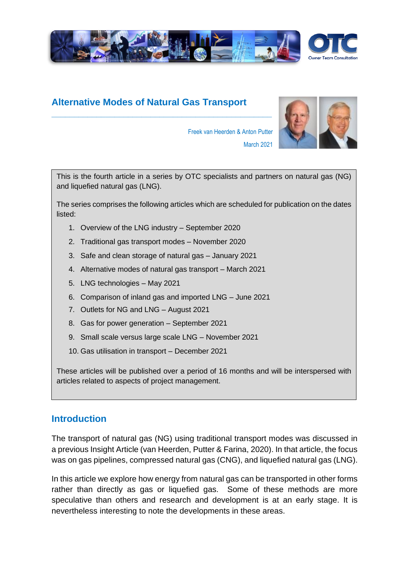

# **Alternative Modes of Natural Gas Transport**

**\_\_\_\_\_\_\_\_\_\_\_\_\_\_\_\_\_\_\_\_\_\_\_\_\_\_\_\_\_\_\_\_\_\_\_\_\_\_\_\_\_\_\_\_\_\_\_\_\_**



Freek van Heerden & Anton Putter March 2021

This is the fourth article in a series by OTC specialists and partners on natural gas (NG) and liquefied natural gas (LNG).

The series comprises the following articles which are scheduled for publication on the dates listed:

- 1. Overview of the LNG industry September 2020
- 2. Traditional gas transport modes November 2020
- 3. Safe and clean storage of natural gas January 2021
- 4. Alternative modes of natural gas transport March 2021
- 5. LNG technologies May 2021
- 6. Comparison of inland gas and imported LNG June 2021
- 7. Outlets for NG and LNG August 2021
- 8. Gas for power generation September 2021
- 9. Small scale versus large scale LNG November 2021
- 10. Gas utilisation in transport December 2021

These articles will be published over a period of 16 months and will be interspersed with articles related to aspects of project management.

### **Introduction**

The transport of natural gas (NG) using traditional transport modes was discussed in a previous Insight Article (van Heerden, Putter & Farina, 2020). In that article, the focus was on gas pipelines, compressed natural gas (CNG), and liquefied natural gas (LNG).

In this article we explore how energy from natural gas can be transported in other forms rather than directly as gas or liquefied gas. Some of these methods are more speculative than others and research and development is at an early stage. It is nevertheless interesting to note the developments in these areas.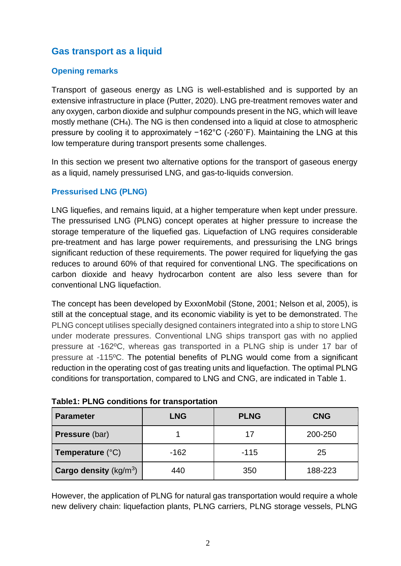# **Gas transport as a liquid**

#### **Opening remarks**

Transport of gaseous energy as LNG is well-established and is supported by an extensive infrastructure in place (Putter, 2020). LNG pre-treatment removes water and any oxygen, carbon dioxide and sulphur compounds present in the NG, which will leave mostly methane (CH4). The NG is then condensed into a liquid at close to atmospheric pressure by cooling it to approximately −162°C (-260˚F). Maintaining the LNG at this low temperature during transport presents some challenges.

In this section we present two alternative options for the transport of gaseous energy as a liquid, namely pressurised LNG, and gas-to-liquids conversion.

#### **Pressurised LNG (PLNG)**

LNG liquefies, and remains liquid, at a higher temperature when kept under pressure. The pressurised LNG (PLNG) concept operates at higher pressure to increase the storage temperature of the liquefied gas. Liquefaction of LNG requires considerable pre-treatment and has large power requirements, and pressurising the LNG brings significant reduction of these requirements. The power required for liquefying the gas reduces to around 60% of that required for conventional LNG. The specifications on carbon dioxide and heavy hydrocarbon content are also less severe than for conventional LNG liquefaction.

The concept has been developed by ExxonMobil (Stone, 2001; Nelson et al, 2005), is still at the conceptual stage, and its economic viability is yet to be demonstrated. The PLNG concept utilises specially designed containers integrated into a ship to store LNG under moderate pressures. Conventional LNG ships transport gas with no applied pressure at -162ºC, whereas gas transported in a PLNG ship is under 17 bar of pressure at -115ºC. The potential benefits of PLNG would come from a significant reduction in the operating cost of gas treating units and liquefaction. The optimal PLNG conditions for transportation, compared to LNG and CNG, are indicated in Table 1.

| <b>Parameter</b>                 | <b>LNG</b> | <b>PLNG</b> | <b>CNG</b> |
|----------------------------------|------------|-------------|------------|
| <b>Pressure (bar)</b>            |            | 17          | 200-250    |
| Temperature $(^{\circ}C)$        | $-162$     | $-115$      | 25         |
| <b>Cargo density</b> ( $kg/m3$ ) | 440        | 350         | 188-223    |

**Table1: PLNG conditions for transportation**

However, the application of PLNG for natural gas transportation would require a whole new delivery chain: liquefaction plants, PLNG carriers, PLNG storage vessels, PLNG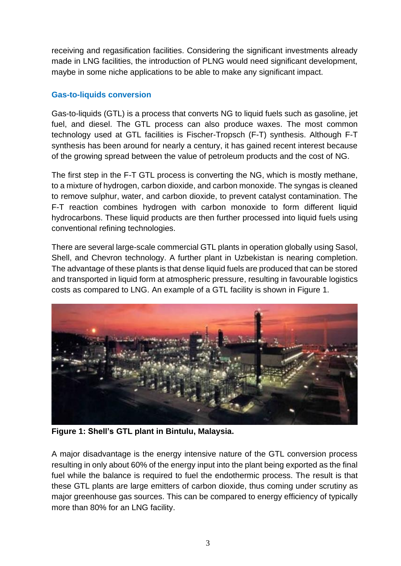receiving and regasification facilities. Considering the significant investments already made in LNG facilities, the introduction of PLNG would need significant development, maybe in some niche applications to be able to make any significant impact.

#### **Gas-to-liquids conversion**

Gas-to-liquids (GTL) is a process that converts NG to liquid fuels such as gasoline, jet fuel, and diesel. The GTL process can also produce waxes. The most common technology used at GTL facilities is Fischer-Tropsch (F-T) synthesis. Although F-T synthesis has been around for nearly a century, it has gained recent interest because of the growing spread between the value of petroleum products and the cost of NG.

The first step in the F-T GTL process is converting the NG, which is mostly methane, to a mixture of hydrogen, carbon dioxide, and carbon monoxide. The syngas is cleaned to remove sulphur, water, and carbon dioxide, to prevent catalyst contamination. The F-T reaction combines hydrogen with carbon monoxide to form different liquid hydrocarbons. These liquid products are then further processed into liquid fuels using conventional refining technologies.

There are several large-scale commercial GTL plants in operation globally using Sasol, Shell, and Chevron technology. A further plant in Uzbekistan is nearing completion. The advantage of these plants is that dense liquid fuels are produced that can be stored and transported in liquid form at atmospheric pressure, resulting in favourable logistics costs as compared to LNG. An example of a GTL facility is shown in Figure 1.



**Figure 1: Shell's GTL plant in Bintulu, Malaysia.**

A major disadvantage is the energy intensive nature of the GTL conversion process resulting in only about 60% of the energy input into the plant being exported as the final fuel while the balance is required to fuel the endothermic process. The result is that these GTL plants are large emitters of carbon dioxide, thus coming under scrutiny as major greenhouse gas sources. This can be compared to energy efficiency of typically more than 80% for an LNG facility.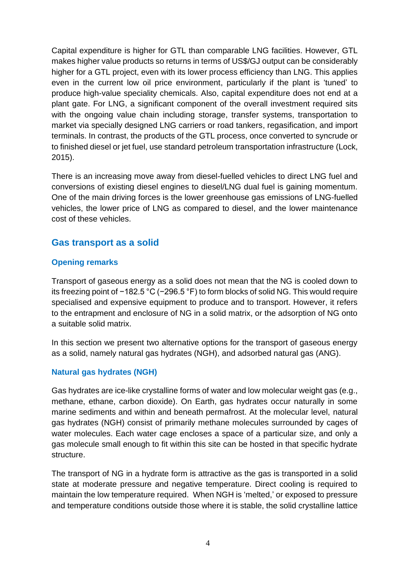Capital expenditure is higher for GTL than comparable LNG facilities. However, GTL makes higher value products so returns in terms of US\$/GJ output can be considerably higher for a GTL project, even with its lower process efficiency than LNG. This applies even in the current low oil price environment, particularly if the plant is 'tuned' to produce high-value speciality chemicals. Also, capital expenditure does not end at a plant gate. For LNG, a significant component of the overall investment required sits with the ongoing value chain including storage, transfer systems, transportation to market via specially designed LNG carriers or road tankers, regasification, and import terminals. In contrast, the products of the GTL process, once converted to syncrude or to finished diesel or jet fuel, use standard petroleum transportation infrastructure (Lock, 2015).

There is an increasing move away from diesel-fuelled vehicles to direct LNG fuel and conversions of existing diesel engines to diesel/LNG dual fuel is gaining momentum. One of the main driving forces is the lower greenhouse gas emissions of LNG-fuelled vehicles, the lower price of LNG as compared to diesel, and the lower maintenance cost of these vehicles.

## **Gas transport as a solid**

#### **Opening remarks**

Transport of gaseous energy as a solid does not mean that the NG is cooled down to its freezing point of −182.5 °C (−296.5 °F) to form blocks of solid NG. This would require specialised and expensive equipment to produce and to transport. However, it refers to the entrapment and enclosure of NG in a solid matrix, or the adsorption of NG onto a suitable solid matrix.

In this section we present two alternative options for the transport of gaseous energy as a solid, namely natural gas hydrates (NGH), and adsorbed natural gas (ANG).

#### **Natural gas hydrates (NGH)**

Gas hydrates are ice-like crystalline forms of water and low molecular weight gas (e.g., methane, ethane, carbon dioxide). On Earth, gas hydrates occur naturally in some marine sediments and within and beneath permafrost. At the molecular level, natural gas hydrates (NGH) consist of primarily methane molecules surrounded by cages of water molecules. Each water cage encloses a space of a particular size, and only a gas molecule small enough to fit within this site can be hosted in that specific hydrate structure.

The transport of NG in a hydrate form is attractive as the gas is transported in a solid state at moderate pressure and negative temperature. Direct cooling is required to maintain the low temperature required. When NGH is 'melted,' or exposed to pressure and temperature conditions outside those where it is stable, the solid crystalline lattice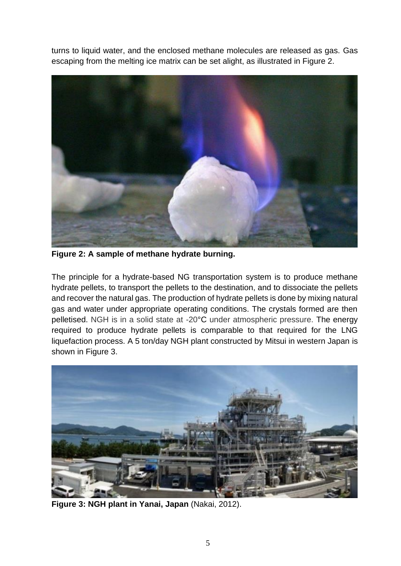turns to liquid water, and the enclosed methane molecules are released as gas. Gas escaping from the melting ice matrix can be set alight, as illustrated in Figure 2.



**Figure 2: A sample of methane hydrate burning.**

The principle for a hydrate-based NG transportation system is to produce methane hydrate pellets, to transport the pellets to the destination, and to dissociate the pellets and recover the natural gas. The production of hydrate pellets is done by mixing natural gas and water under appropriate operating conditions. The crystals formed are then pelletised. NGH is in a solid state at -20°C under atmospheric pressure. The energy required to produce hydrate pellets is comparable to that required for the LNG liquefaction process. A 5 ton/day NGH plant constructed by Mitsui in western Japan is shown in Figure 3.



**Figure 3: NGH plant in Yanai, Japan** (Nakai, 2012).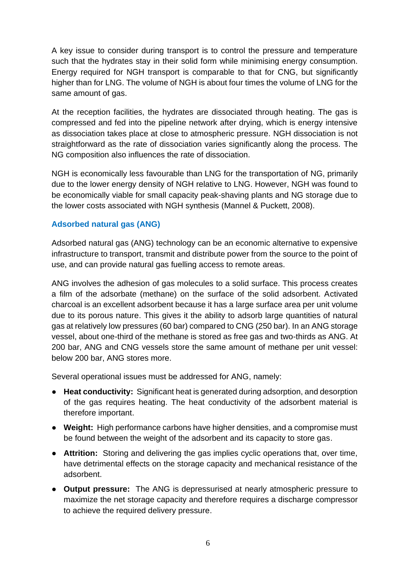A key issue to consider during transport is to control the pressure and temperature such that the hydrates stay in their solid form while minimising energy consumption. Energy required for NGH transport is comparable to that for CNG, but significantly higher than for LNG. The volume of NGH is about four times the volume of LNG for the same amount of gas.

At the reception facilities, the hydrates are dissociated through heating. The gas is compressed and fed into the pipeline network after drying, which is energy intensive as dissociation takes place at close to atmospheric pressure. NGH dissociation is not straightforward as the rate of dissociation varies significantly along the process. The NG composition also influences the rate of dissociation.

NGH is economically less favourable than LNG for the transportation of NG, primarily due to the lower energy density of NGH relative to LNG. However, NGH was found to be economically viable for small capacity peak-shaving plants and NG storage due to the lower costs associated with NGH synthesis (Mannel & Puckett, 2008).

#### **Adsorbed natural gas (ANG)**

Adsorbed natural gas (ANG) technology can be an economic alternative to expensive infrastructure to transport, transmit and distribute power from the source to the point of use, and can provide natural gas fuelling access to remote areas.

ANG involves the adhesion of gas molecules to a solid surface. This process creates a film of the adsorbate (methane) on the surface of the solid adsorbent. Activated charcoal is an excellent adsorbent because it has a large surface area per unit volume due to its porous nature. This gives it the ability to adsorb large quantities of natural gas at relatively low pressures (60 bar) compared to CNG (250 bar). In an ANG storage vessel, about one-third of the methane is stored as free gas and two-thirds as ANG. At 200 bar, ANG and CNG vessels store the same amount of methane per unit vessel: below 200 bar, ANG stores more.

Several operational issues must be addressed for ANG, namely:

- **Heat conductivity:** Significant heat is generated during adsorption, and desorption of the gas requires heating. The heat conductivity of the adsorbent material is therefore important.
- **Weight:** High performance carbons have higher densities, and a compromise must be found between the weight of the adsorbent and its capacity to store gas.
- **Attrition:** Storing and delivering the gas implies cyclic operations that, over time, have detrimental effects on the storage capacity and mechanical resistance of the adsorbent.
- **Output pressure:** The ANG is depressurised at nearly atmospheric pressure to maximize the net storage capacity and therefore requires a discharge compressor to achieve the required delivery pressure.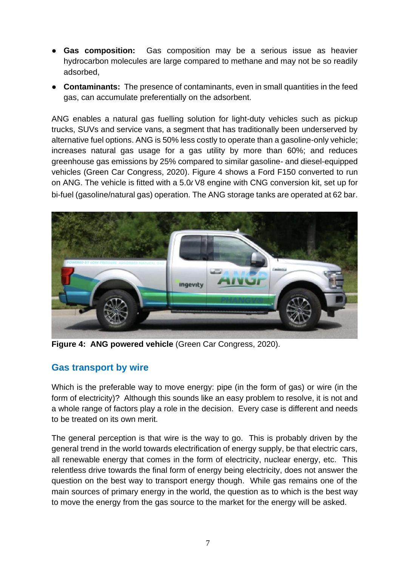- **Gas composition:** Gas composition may be a serious issue as heavier hydrocarbon molecules are large compared to methane and may not be so readily adsorbed,
- **Contaminants:** The presence of contaminants, even in small quantities in the feed gas, can accumulate preferentially on the adsorbent.

ANG enables a natural gas fuelling solution for light-duty vehicles such as pickup trucks, SUVs and service vans, a segment that has traditionally been underserved by alternative fuel options. ANG is 50% less costly to operate than a gasoline-only vehicle; increases natural gas usage for a gas utility by more than 60%; and reduces greenhouse gas emissions by 25% compared to similar gasoline- and diesel-equipped vehicles (Green Car Congress, 2020). Figure 4 shows a Ford F150 converted to run on ANG. The vehicle is fitted with a 5.0*l* V8 engine with CNG conversion kit, set up for bi-fuel (gasoline/natural gas) operation. The ANG storage tanks are operated at 62 bar.



**Figure 4: ANG powered vehicle** (Green Car Congress, 2020).

### **Gas transport by wire**

Which is the preferable way to move energy: pipe (in the form of gas) or wire (in the form of electricity)? Although this sounds like an easy problem to resolve, it is not and a whole range of factors play a role in the decision. Every case is different and needs to be treated on its own merit.

The general perception is that wire is the way to go. This is probably driven by the general trend in the world towards electrification of energy supply, be that electric cars, all renewable energy that comes in the form of electricity, nuclear energy, etc. This relentless drive towards the final form of energy being electricity, does not answer the question on the best way to transport energy though. While gas remains one of the main sources of primary energy in the world, the question as to which is the best way to move the energy from the gas source to the market for the energy will be asked.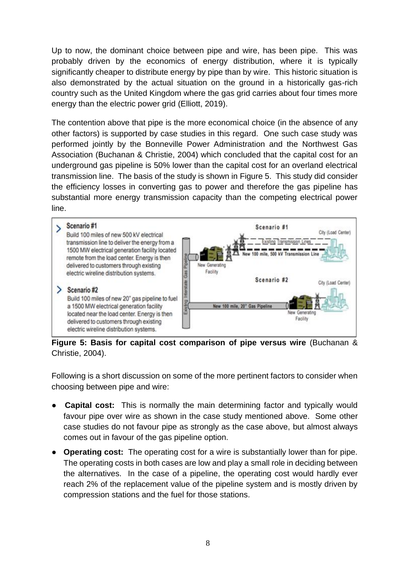Up to now, the dominant choice between pipe and wire, has been pipe. This was probably driven by the economics of energy distribution, where it is typically significantly cheaper to distribute energy by pipe than by wire. This historic situation is also demonstrated by the actual situation on the ground in a historically gas-rich country such as the United Kingdom where the gas grid carries about four times more energy than the electric power grid (Elliott, 2019).

The contention above that pipe is the more economical choice (in the absence of any other factors) is supported by case studies in this regard. One such case study was performed jointly by the Bonneville Power Administration and the Northwest Gas Association (Buchanan & Christie, 2004) which concluded that the capital cost for an underground gas pipeline is 50% lower than the capital cost for an overland electrical transmission line. The basis of the study is shown in Figure 5. This study did consider the efficiency losses in converting gas to power and therefore the gas pipeline has substantial more energy transmission capacity than the competing electrical power line.

#### Scenario #1 Scenario #1 City (Load Center) Build 100 miles of new 500 kV electrical transmission line to deliver the energy from a Existing Transmission Lines 1500 MW electrical generation facility located **Transmission Lin** remote from the load center. Energy is then New Generating delivered to customers through existing Gas Pip Facility electric wireline distribution systems. Scenario #2 rterstate City (Load Center)  $\ge$  Scenario#2 Build 100 miles of new 20" gas pipeline to fuel **Existing** a 1500 MW electrical generation facility New 100 mile. 20" Gas Pipeline Generating located near the load center. Energy is then Facility delivered to customers through existing electric wireline distribution systems.

**Figure 5: Basis for capital cost comparison of pipe versus wire** (Buchanan & Christie, 2004).

Following is a short discussion on some of the more pertinent factors to consider when choosing between pipe and wire:

- **Capital cost:** This is normally the main determining factor and typically would favour pipe over wire as shown in the case study mentioned above. Some other case studies do not favour pipe as strongly as the case above, but almost always comes out in favour of the gas pipeline option.
- **Operating cost:** The operating cost for a wire is substantially lower than for pipe. The operating costs in both cases are low and play a small role in deciding between the alternatives. In the case of a pipeline, the operating cost would hardly ever reach 2% of the replacement value of the pipeline system and is mostly driven by compression stations and the fuel for those stations.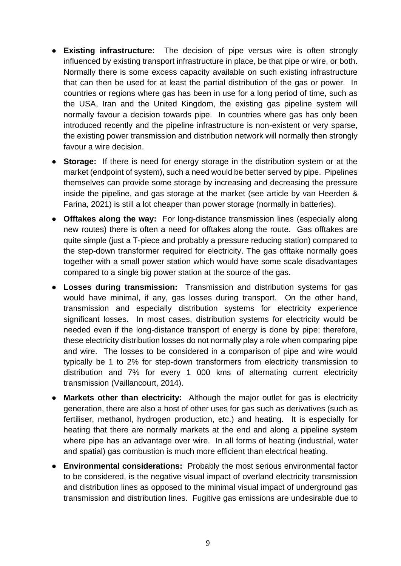- **Existing infrastructure:** The decision of pipe versus wire is often strongly influenced by existing transport infrastructure in place, be that pipe or wire, or both. Normally there is some excess capacity available on such existing infrastructure that can then be used for at least the partial distribution of the gas or power. In countries or regions where gas has been in use for a long period of time, such as the USA, Iran and the United Kingdom, the existing gas pipeline system will normally favour a decision towards pipe. In countries where gas has only been introduced recently and the pipeline infrastructure is non-existent or very sparse, the existing power transmission and distribution network will normally then strongly favour a wire decision.
- **Storage:** If there is need for energy storage in the distribution system or at the market (endpoint of system), such a need would be better served by pipe. Pipelines themselves can provide some storage by increasing and decreasing the pressure inside the pipeline, and gas storage at the market (see article by van Heerden & Farina, 2021) is still a lot cheaper than power storage (normally in batteries).
- **Offtakes along the way:** For long-distance transmission lines (especially along new routes) there is often a need for offtakes along the route. Gas offtakes are quite simple (just a T-piece and probably a pressure reducing station) compared to the step-down transformer required for electricity. The gas offtake normally goes together with a small power station which would have some scale disadvantages compared to a single big power station at the source of the gas.
- **Losses during transmission:** Transmission and distribution systems for gas would have minimal, if any, gas losses during transport. On the other hand, transmission and especially distribution systems for electricity experience significant losses. In most cases, distribution systems for electricity would be needed even if the long-distance transport of energy is done by pipe; therefore, these electricity distribution losses do not normally play a role when comparing pipe and wire. The losses to be considered in a comparison of pipe and wire would typically be 1 to 2% for step-down transformers from electricity transmission to distribution and 7% for every 1 000 kms of alternating current electricity transmission (Vaillancourt, 2014).
- **Markets other than electricity:** Although the major outlet for gas is electricity generation, there are also a host of other uses for gas such as derivatives (such as fertiliser, methanol, hydrogen production, etc.) and heating. It is especially for heating that there are normally markets at the end and along a pipeline system where pipe has an advantage over wire. In all forms of heating (industrial, water and spatial) gas combustion is much more efficient than electrical heating.
- **Environmental considerations:** Probably the most serious environmental factor to be considered, is the negative visual impact of overland electricity transmission and distribution lines as opposed to the minimal visual impact of underground gas transmission and distribution lines. Fugitive gas emissions are undesirable due to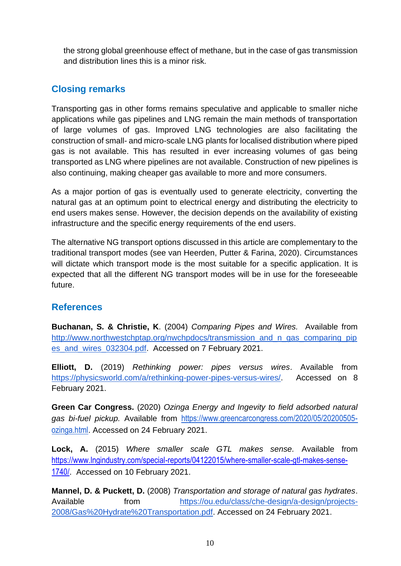the strong global greenhouse effect of methane, but in the case of gas transmission and distribution lines this is a minor risk.

# **Closing remarks**

Transporting gas in other forms remains speculative and applicable to smaller niche applications while gas pipelines and LNG remain the main methods of transportation of large volumes of gas. Improved LNG technologies are also facilitating the construction of small- and micro-scale LNG plants for localised distribution where piped gas is not available. This has resulted in ever increasing volumes of gas being transported as LNG where pipelines are not available. Construction of new pipelines is also continuing, making cheaper gas available to more and more consumers.

As a major portion of gas is eventually used to generate electricity, converting the natural gas at an optimum point to electrical energy and distributing the electricity to end users makes sense. However, the decision depends on the availability of existing infrastructure and the specific energy requirements of the end users.

The alternative NG transport options discussed in this article are complementary to the traditional transport modes (see van Heerden, Putter & Farina, 2020). Circumstances will dictate which transport mode is the most suitable for a specific application. It is expected that all the different NG transport modes will be in use for the foreseeable future.

# **References**

**Buchanan, S. & Christie, K**. (2004) *Comparing Pipes and Wires.* Available fro[m](http://www.northwestchptap.org/nwchpdocs/transmission_and_n_gas_comparing_pipes_and_wires_032304.pdf) [http://www.northwestchptap.org/nwchpdocs/transmission\\_and\\_n\\_gas\\_comparing\\_pip](http://www.northwestchptap.org/nwchpdocs/transmission_and_n_gas_comparing_pipes_and_wires_032304.pdf) [es\\_and\\_wires\\_032304.pdf.](http://www.northwestchptap.org/nwchpdocs/transmission_and_n_gas_comparing_pipes_and_wires_032304.pdf) Accessed on 7 February 2021.

**Elliott, D.** (2019) *Rethinking power: pipes versus wires*. Available fro[m](https://physicsworld.com/a/rethinking-power-pipes-versus-wires/) [https://physicsworld.com/a/rethinking-power-pipes-versus-wires/.](https://physicsworld.com/a/rethinking-power-pipes-versus-wires/) Accessed on 8 February 2021.

**Green Car Congress.** (2020) *Ozinga Energy and Ingevity to field adsorbed natural gas bi-fuel pickup.* Available from [https://www.greencarcongress.com/2020/05/20200505](https://www.greencarcongress.com/2020/05/20200505-ozinga.html) [ozinga.html](https://www.greencarcongress.com/2020/05/20200505-ozinga.html). Accessed on 24 February 2021.

**Lock, A.** (2015) *Where smaller scale GTL makes sense.* Available from [https://www.lngindustry.com/special-reports/04122015/where-smaller-scale-gtl-makes-sense-](https://www.lngindustry.com/special-reports/04122015/where-smaller-scale-gtl-makes-sense-1740/)[1740/](https://www.lngindustry.com/special-reports/04122015/where-smaller-scale-gtl-makes-sense-1740/). Accessed on 10 February 2021.

**Mannel, D. & Puckett, D.** (2008) *Transportation and storage of natural gas hydrates*. Available from [https://ou.edu/class/che-design/a-design/projects-](https://ou.edu/class/che-design/a-design/projects-2008/Gas%20Hydrate%20Transportation.pdf)[2008/Gas%20Hydrate%20Transportation.pdf.](https://ou.edu/class/che-design/a-design/projects-2008/Gas%20Hydrate%20Transportation.pdf) Accessed on 24 February 2021.